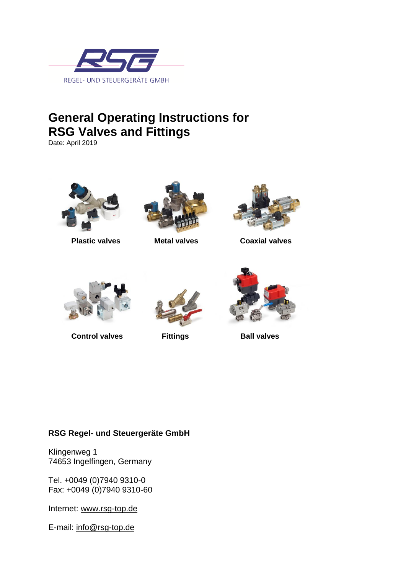

## **General Operating Instructions for RSG Valves and Fittings**

Date: April 2019







**Plastic valves Metal valves Coaxial valves** 



**Control valves** Fittings Ball valves



### **RSG Regel- und Steuergeräte GmbH**

Klingenweg 1 74653 Ingelfingen, Germany

Tel. +0049 (0)7940 9310-0 Fax: +0049 (0)7940 9310-60

Internet: [www.rsg-top.de](http://www.rsg-top.de/)

E-mail: [info@rsg-top.de](mailto:info@rsg-top.de)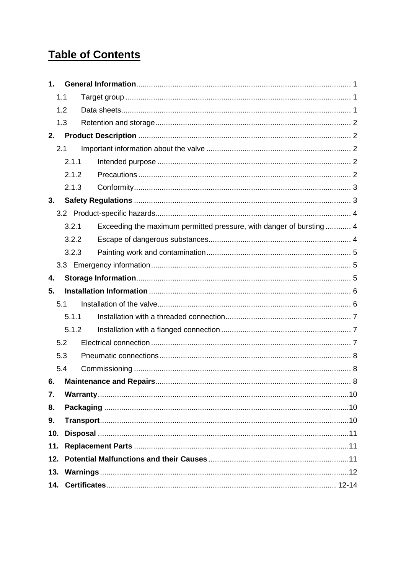## **Table of Contents**

| $\mathbf 1$ .    |       |                                                                     |  |
|------------------|-------|---------------------------------------------------------------------|--|
| 1.1              |       |                                                                     |  |
| 1.2              |       |                                                                     |  |
| 1.3              |       |                                                                     |  |
| 2.               |       |                                                                     |  |
| 2.1              |       |                                                                     |  |
|                  | 2.1.1 |                                                                     |  |
|                  | 2.1.2 |                                                                     |  |
|                  | 2.1.3 |                                                                     |  |
| 3.               |       |                                                                     |  |
|                  |       |                                                                     |  |
|                  | 3.2.1 | Exceeding the maximum permitted pressure, with danger of bursting 4 |  |
|                  | 3.2.2 |                                                                     |  |
|                  | 3.2.3 |                                                                     |  |
|                  |       |                                                                     |  |
| 4.               |       |                                                                     |  |
|                  |       |                                                                     |  |
| 5.               |       |                                                                     |  |
| 5.1              |       |                                                                     |  |
|                  | 5.1.1 |                                                                     |  |
|                  | 5.1.2 |                                                                     |  |
| 5.2              |       |                                                                     |  |
| 5.3              |       |                                                                     |  |
| 5.4              |       |                                                                     |  |
| 6.               |       |                                                                     |  |
| $\overline{7}$ . |       |                                                                     |  |
| 8.               |       |                                                                     |  |
| 9.               |       |                                                                     |  |
| 10.              |       |                                                                     |  |
| 11.              |       |                                                                     |  |
|                  |       |                                                                     |  |
|                  |       |                                                                     |  |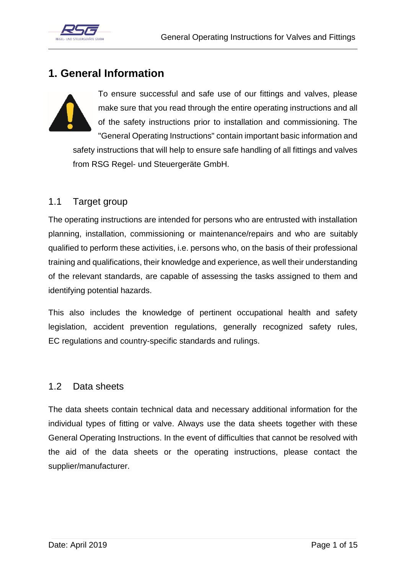

### <span id="page-2-0"></span>**1. General Information**



To ensure successful and safe use of our fittings and valves, please make sure that you read through the entire operating instructions and all of the safety instructions prior to installation and commissioning. The "General Operating Instructions" contain important basic information and safety instructions that will help to ensure safe handling of all fittings and valves from RSG Regel- und Steuergeräte GmbH.

### <span id="page-2-1"></span>1.1 Target group

The operating instructions are intended for persons who are entrusted with installation planning, installation, commissioning or maintenance/repairs and who are suitably qualified to perform these activities, i.e. persons who, on the basis of their professional training and qualifications, their knowledge and experience, as well their understanding of the relevant standards, are capable of assessing the tasks assigned to them and identifying potential hazards.

This also includes the knowledge of pertinent occupational health and safety legislation, accident prevention regulations, generally recognized safety rules, EC regulations and country-specific standards and rulings.

### <span id="page-2-2"></span>1.2 Data sheets

The data sheets contain technical data and necessary additional information for the individual types of fitting or valve. Always use the data sheets together with these General Operating Instructions. In the event of difficulties that cannot be resolved with the aid of the data sheets or the operating instructions, please contact the supplier/manufacturer.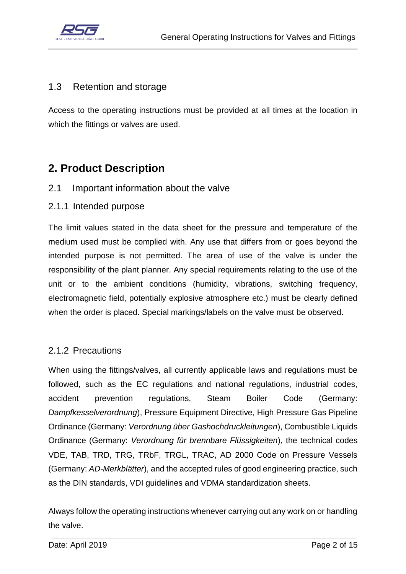

### <span id="page-3-0"></span>1.3 [Retention and storage](#page-2-0)

Access to the operating instructions must be provided at all times at the location in which the fittings or valves are used.

### <span id="page-3-1"></span>**2. Product Description**

- <span id="page-3-2"></span>2.1 Important information about the valve
- <span id="page-3-3"></span>2.1.1 Intended purpose

The limit values stated in the data sheet for the pressure and temperature of the medium used must be complied with. Any use that differs from or goes beyond the intended purpose is not permitted. The area of use of the valve is under the responsibility of the plant planner. Any special requirements relating to the use of the unit or to the ambient conditions (humidity, vibrations, switching frequency, electromagnetic field, potentially explosive atmosphere etc.) must be clearly defined when the order is placed. Special markings/labels on the valve must be observed.

### <span id="page-3-4"></span>2.1.2 Precautions

When using the fittings/valves, all currently applicable laws and regulations must be followed, such as the EC regulations and national regulations, industrial codes, accident prevention regulations, Steam Boiler Code (Germany: *Dampfkesselverordnung*), Pressure Equipment Directive, High Pressure Gas Pipeline Ordinance (Germany: *Verordnung über Gashochdruckleitungen*), Combustible Liquids Ordinance (Germany: *Verordnung für brennbare Flüssigkeiten*), the technical codes VDE, TAB, TRD, TRG, TRbF, TRGL, TRAC, AD 2000 Code on Pressure Vessels (Germany: *AD-Merkblätter*), and the accepted rules of good engineering practice, such as the DIN standards, VDI guidelines and VDMA standardization sheets.

Always follow the operating instructions whenever carrying out any work on or handling the valve.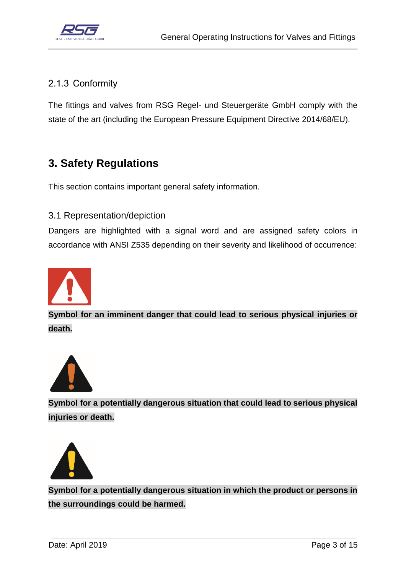

### <span id="page-4-0"></span>2.1.3 Conformity

The fittings and valves from RSG Regel- und Steuergeräte GmbH comply with the state of the art (including the European Pressure Equipment Directive 2014/68/EU).

### <span id="page-4-1"></span>**3. Safety Regulations**

This section contains important general safety information.

### 3.1 Representation/depiction

Dangers are highlighted with a signal word and are assigned safety colors in accordance with ANSI Z535 depending on their severity and likelihood of occurrence:



**Symbol for an imminent danger that could lead to serious physical injuries or death.**



**Symbol for a potentially dangerous situation that could lead to serious physical injuries or death.**



**Symbol for a potentially dangerous situation in which the product or persons in the surroundings could be harmed.**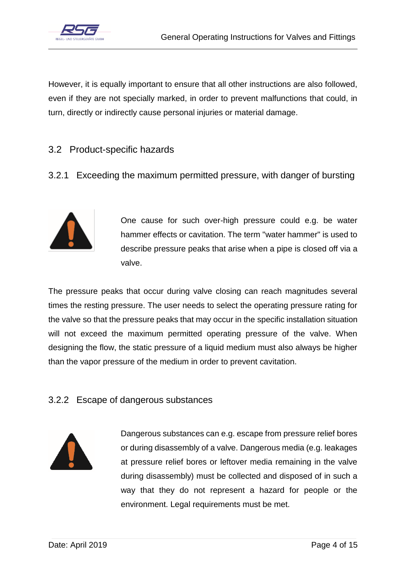

However, it is equally important to ensure that all other instructions are also followed, even if they are not specially marked, in order to prevent malfunctions that could, in turn, directly or indirectly cause personal injuries or material damage.

### <span id="page-5-0"></span>3.2 Product-specific hazards

<span id="page-5-1"></span>3.2.1 Exceeding the maximum permitted pressure, with danger of bursting



One cause for such over-high pressure could e.g. be water hammer effects or cavitation. The term "water hammer" is used to describe pressure peaks that arise when a pipe is closed off via a valve.

The pressure peaks that occur during valve closing can reach magnitudes several times the resting pressure. The user needs to select the operating pressure rating for the valve so that the pressure peaks that may occur in the specific installation situation will not exceed the maximum permitted operating pressure of the valve. When designing the flow, the static pressure of a liquid medium must also always be higher than the vapor pressure of the medium in order to prevent cavitation.

### <span id="page-5-2"></span>3.2.2 Escape of dangerous substances



Dangerous substances can e.g. escape from pressure relief bores or during disassembly of a valve. Dangerous media (e.g. leakages at pressure relief bores or leftover media remaining in the valve during disassembly) must be collected and disposed of in such a way that they do not represent a hazard for people or the environment. Legal requirements must be met.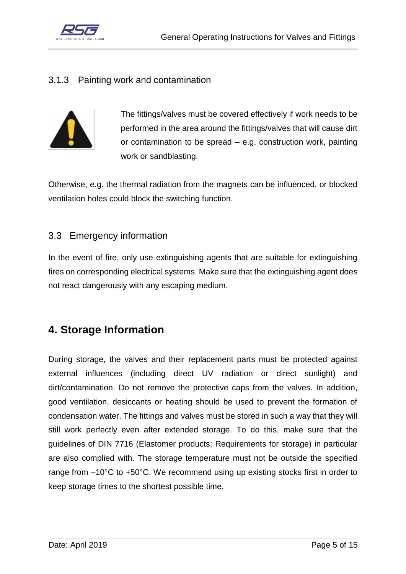

### <span id="page-6-0"></span>3.1.3 Painting work and contamination



The fittings/valves must be covered effectively if work needs to be performed in the area around the fittings/valves that will cause dirt or contamination to be spread – e.g. construction work, painting work or sandblasting.

Otherwise, e.g. the thermal radiation from the magnets can be influenced, or blocked ventilation holes could block the switching function.

### <span id="page-6-1"></span>3.3 Emergency information

In the event of fire, only use extinguishing agents that are suitable for extinguishing fires on corresponding electrical systems. Make sure that the extinguishing agent does not react dangerously with any escaping medium.

### <span id="page-6-2"></span>**4. Storage Information**

During storage, the valves and their replacement parts must be protected against external influences (including direct UV radiation or direct sunlight) and dirt/contamination. Do not remove the protective caps from the valves. In addition, good ventilation, desiccants or heating should be used to prevent the formation of condensation water. The fittings and valves must be stored in such a way that they will still work perfectly even after extended storage. To do this, make sure that the guidelines of DIN 7716 (Elastomer products; Requirements for storage) in particular are also complied with. The storage temperature must not be outside the specified range from –10°C to +50°C. We recommend using up existing stocks first in order to keep storage times to the shortest possible time.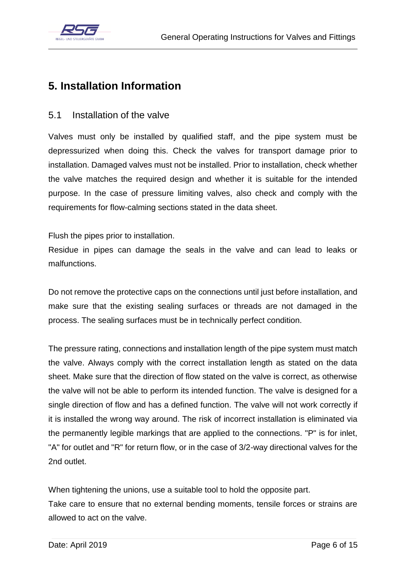

### <span id="page-7-0"></span>**5. Installation Information**

### <span id="page-7-1"></span>5.1 Installation of the valve

Valves must only be installed by qualified staff, and the pipe system must be depressurized when doing this. Check the valves for transport damage prior to installation. Damaged valves must not be installed. Prior to installation, check whether the valve matches the required design and whether it is suitable for the intended purpose. In the case of pressure limiting valves, also check and comply with the requirements for flow-calming sections stated in the data sheet.

Flush the pipes prior to installation.

Residue in pipes can damage the seals in the valve and can lead to leaks or malfunctions.

Do not remove the protective caps on the connections until just before installation, and make sure that the existing sealing surfaces or threads are not damaged in the process. The sealing surfaces must be in technically perfect condition.

The pressure rating, connections and installation length of the pipe system must match the valve. Always comply with the correct installation length as stated on the data sheet. Make sure that the direction of flow stated on the valve is correct, as otherwise the valve will not be able to perform its intended function. The valve is designed for a single direction of flow and has a defined function. The valve will not work correctly if it is installed the wrong way around. The risk of incorrect installation is eliminated via the permanently legible markings that are applied to the connections. "P" is for inlet, "A" for outlet and "R" for return flow, or in the case of 3/2-way directional valves for the 2nd outlet.

When tightening the unions, use a suitable tool to hold the opposite part. Take care to ensure that no external bending moments, tensile forces or strains are allowed to act on the valve.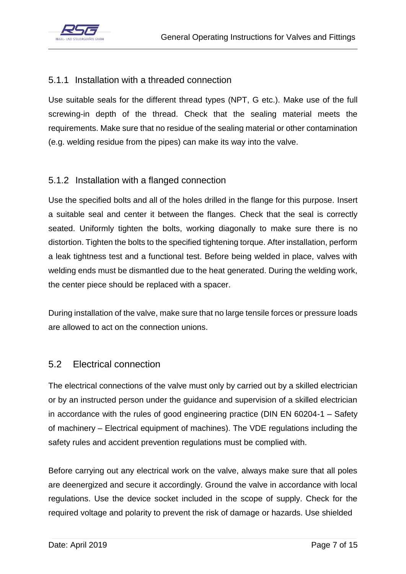

### <span id="page-8-0"></span>5.1.1 Installation with a threaded connection

Use suitable seals for the different thread types (NPT, G etc.). Make use of the full screwing-in depth of the thread. Check that the sealing material meets the requirements. Make sure that no residue of the sealing material or other contamination (e.g. welding residue from the pipes) can make its way into the valve.

### <span id="page-8-1"></span>5.1.2 Installation with a flanged connection

Use the specified bolts and all of the holes drilled in the flange for this purpose. Insert a suitable seal and center it between the flanges. Check that the seal is correctly seated. Uniformly tighten the bolts, working diagonally to make sure there is no distortion. Tighten the bolts to the specified tightening torque. After installation, perform a leak tightness test and a functional test. Before being welded in place, valves with welding ends must be dismantled due to the heat generated. During the welding work, the center piece should be replaced with a spacer.

During installation of the valve, make sure that no large tensile forces or pressure loads are allowed to act on the connection unions.

### <span id="page-8-2"></span>5.2 Electrical connection

The electrical connections of the valve must only by carried out by a skilled electrician or by an instructed person under the guidance and supervision of a skilled electrician in accordance with the rules of good engineering practice (DIN EN 60204-1 – Safety of machinery – Electrical equipment of machines). The VDE regulations including the safety rules and accident prevention regulations must be complied with.

Before carrying out any electrical work on the valve, always make sure that all poles are deenergized and secure it accordingly. Ground the valve in accordance with local regulations. Use the device socket included in the scope of supply. Check for the required voltage and polarity to prevent the risk of damage or hazards. Use shielded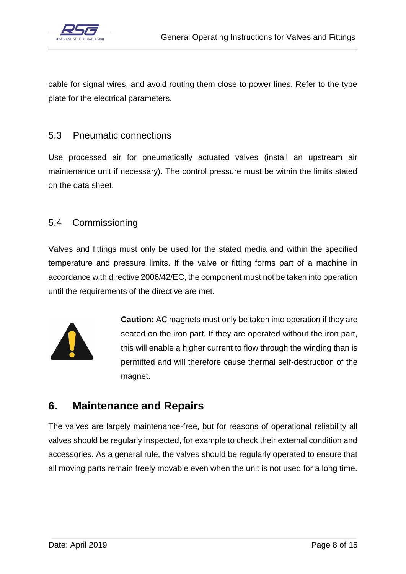

cable for signal wires, and avoid routing them close to power lines. Refer to the type plate for the electrical parameters.

### <span id="page-9-0"></span>5.3 Pneumatic connections

Use processed air for pneumatically actuated valves (install an upstream air maintenance unit if necessary). The control pressure must be within the limits stated on the data sheet.

### <span id="page-9-1"></span>5.4 Commissioning

Valves and fittings must only be used for the stated media and within the specified temperature and pressure limits. If the valve or fitting forms part of a machine in accordance with directive 2006/42/EC, the component must not be taken into operation until the requirements of the directive are met.



**Caution:** AC magnets must only be taken into operation if they are seated on the iron part. If they are operated without the iron part, this will enable a higher current to flow through the winding than is permitted and will therefore cause thermal self-destruction of the magnet.

### <span id="page-9-2"></span>**6. Maintenance and Repairs**

The valves are largely maintenance-free, but for reasons of operational reliability all valves should be regularly inspected, for example to check their external condition and accessories. As a general rule, the valves should be regularly operated to ensure that all moving parts remain freely movable even when the unit is not used for a long time.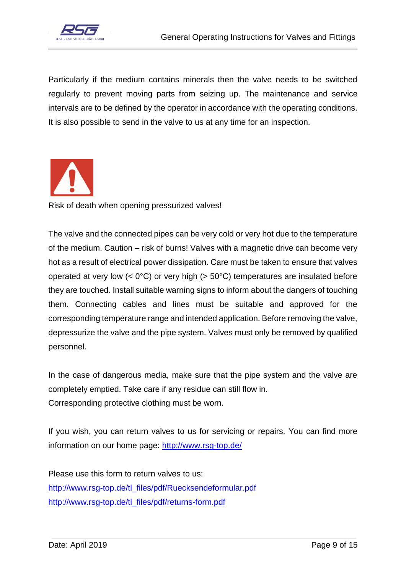

Particularly if the medium contains minerals then the valve needs to be switched regularly to prevent moving parts from seizing up. The maintenance and service intervals are to be defined by the operator in accordance with the operating conditions. It is also possible to send in the valve to us at any time for an inspection.



Risk of death when opening pressurized valves!

The valve and the connected pipes can be very cold or very hot due to the temperature of the medium. Caution – risk of burns! Valves with a magnetic drive can become very hot as a result of electrical power dissipation. Care must be taken to ensure that valves operated at very low  $( $0^{\circ}C$ )$  or very high  $(> 50^{\circ}C)$  temperatures are insulated before they are touched. Install suitable warning signs to inform about the dangers of touching them. Connecting cables and lines must be suitable and approved for the corresponding temperature range and intended application. Before removing the valve, depressurize the valve and the pipe system. Valves must only be removed by qualified personnel.

In the case of dangerous media, make sure that the pipe system and the valve are completely emptied. Take care if any residue can still flow in. Corresponding protective clothing must be worn.

If you wish, you can return valves to us for servicing or repairs. You can find more information on our home page:<http://www.rsg-top.de/>

Please use this form to return valves to us: [http://www.rsg-top.de/tl\\_files/pdf/Ruecksendeformular.pdf](http://www.rsg-top.de/tl_files/pdf/Ruecksendeformular.pdf) [http://www.rsg-top.de/tl\\_files/pdf/returns-form.pdf](http://www.rsg-top.de/tl_files/pdf/returns-form.pdf)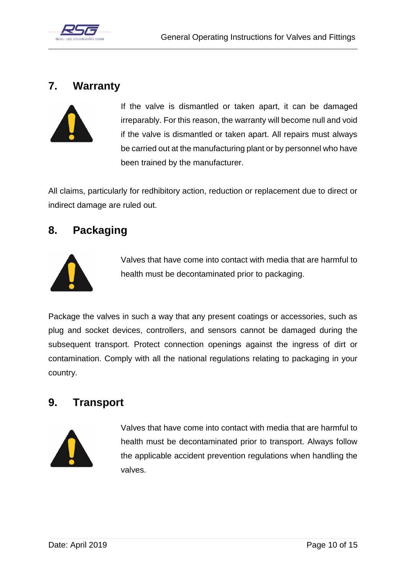

### <span id="page-11-0"></span>**7. Warranty**



If the valve is dismantled or taken apart, it can be damaged irreparably. For this reason, the warranty will become null and void if the valve is dismantled or taken apart. All repairs must always be carried out at the manufacturing plant or by personnel who have been trained by the manufacturer.

All claims, particularly for redhibitory action, reduction or replacement due to direct or indirect damage are ruled out.

### <span id="page-11-1"></span>**8. Packaging**



Valves that have come into contact with media that are harmful to health must be decontaminated prior to packaging.

Package the valves in such a way that any present coatings or accessories, such as plug and socket devices, controllers, and sensors cannot be damaged during the subsequent transport. Protect connection openings against the ingress of dirt or contamination. Comply with all the national regulations relating to packaging in your country.

### <span id="page-11-2"></span>**9. Transport**



Valves that have come into contact with media that are harmful to health must be decontaminated prior to transport. Always follow the applicable accident prevention regulations when handling the valves.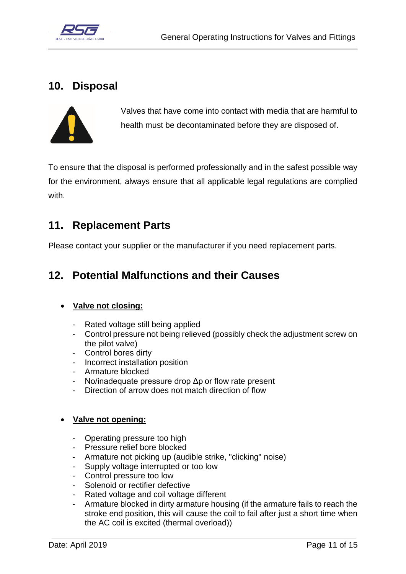

### <span id="page-12-0"></span>**10. Disposal**



Valves that have come into contact with media that are harmful to health must be decontaminated before they are disposed of.

To ensure that the disposal is performed professionally and in the safest possible way for the environment, always ensure that all applicable legal regulations are complied with.

### <span id="page-12-1"></span>**11. Replacement Parts**

Please contact your supplier or the manufacturer if you need replacement parts.

### <span id="page-12-2"></span>**12. Potential Malfunctions and their Causes**

### **Valve not closing:**

- Rated voltage still being applied
- Control pressure not being relieved (possibly check the adjustment screw on the pilot valve)
- Control bores dirty
- Incorrect installation position
- Armature blocked
- No/inadequate pressure drop Δp or flow rate present
- Direction of arrow does not match direction of flow

### **Valve not opening:**

- Operating pressure too high
- Pressure relief bore blocked
- Armature not picking up (audible strike, "clicking" noise)
- Supply voltage interrupted or too low
- Control pressure too low
- Solenoid or rectifier defective
- Rated voltage and coil voltage different
- Armature blocked in dirty armature housing (if the armature fails to reach the stroke end position, this will cause the coil to fail after just a short time when the AC coil is excited (thermal overload))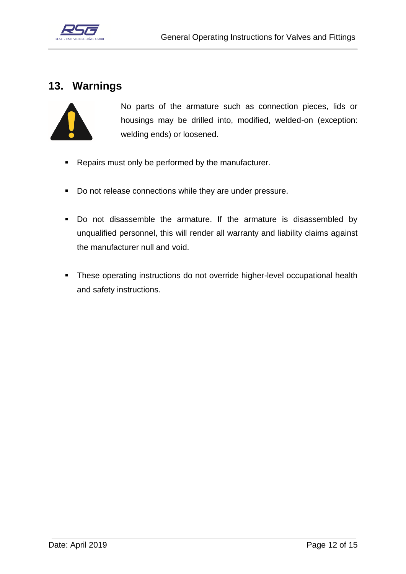

### <span id="page-13-0"></span>**13. Warnings**



No parts of the armature such as connection pieces, lids or housings may be drilled into, modified, welded-on (exception: welding ends) or loosened.

- **Repairs must only be performed by the manufacturer.**
- Do not release connections while they are under pressure.
- Do not disassemble the armature. If the armature is disassembled by unqualified personnel, this will render all warranty and liability claims against the manufacturer null and void.
- **These operating instructions do not override higher-level occupational health** and safety instructions.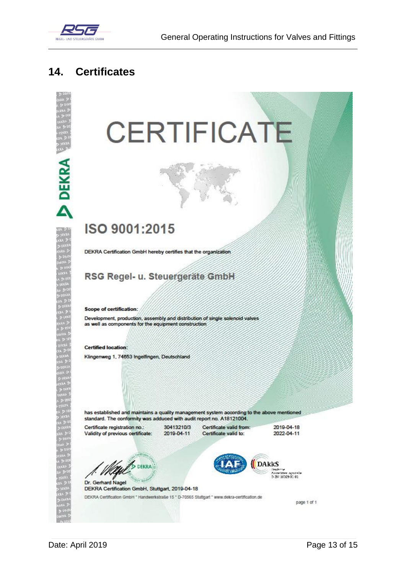

**DEKRA** 

### <span id="page-14-0"></span>**Certificates**  $14.$

# **CERTIFICATE**

# ISO 9001:2015

DEKRA Certification GmbH hereby certifies that the organization

### RSG Regel- u. Steuergeräte GmbH

**Scope of certification:** 

Development, production, assembly and distribution of single solenoid valves as well as components for the equipment construction

**Certified location:** Klingenweg 1, 74653 Ingelfingen, Deutschland

has established and maintains a quality management system according to the above mentioned standard. The conformity was adduced with audit report no. A18121004.

Certificate registration no.: Validity of previous certificate: 30413210/3 2019-04-11

Certificate valid from: Certificate valid to:

2019-04-18 2022-04-11

DEKRA



Dr. Gerhard Nagel DEKRA Certification GmbH, Stuttgart, 2019-04-18 DEKRA Certification GmbH \* Handwerkstraße 15 \* D-70565 Stuttgart \* www.dekra-certification.de

page 1 of 1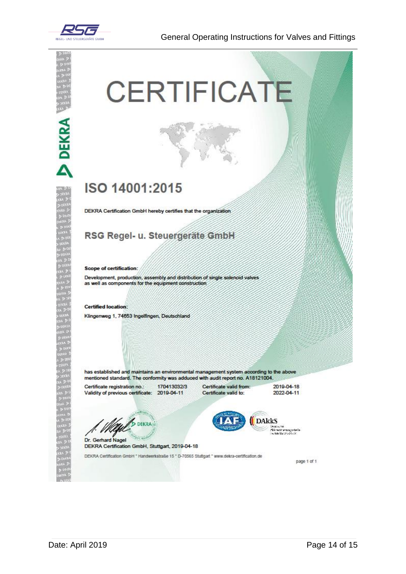

General Operating Instructions for Valves and Fittings

# **DEKRA**

# **CERTIFICATE**

# ISO 14001:2015

DEKRA Certification GmbH hereby certifies that the organization

### RSG Regel- u. Steuergeräte GmbH

### **Scope of certification:**

Development, production, assembly and distribution of single solenoid valves as well as components for the equipment construction

### **Certified location:**

Klingenweg 1, 74653 Ingelfingen, Deutschland

has established and maintains an environmental management system according to the above mentioned standard. The conformity was adduced with audit report no. A18121004.

Certificate registration no.: 170413032/3 Validity of previous certificate: 2019-04-11

Certificate valid from: Certificate valid to:

2019-04-18 2022-04-11

Deutsche<br>Alkrediterungschele<br>Dezel-Holzscheld

**DAKKS** 

**DEKRA** Dr. Gerhard Nagel

DEKRA Certification GmbH, Stuttgart, 2019-04-18

DEKRA Certification GmbH \* Handwerkstraße 15 \* D-70565 Stuttgart \* www.dekra-certification.de

page 1 of 1